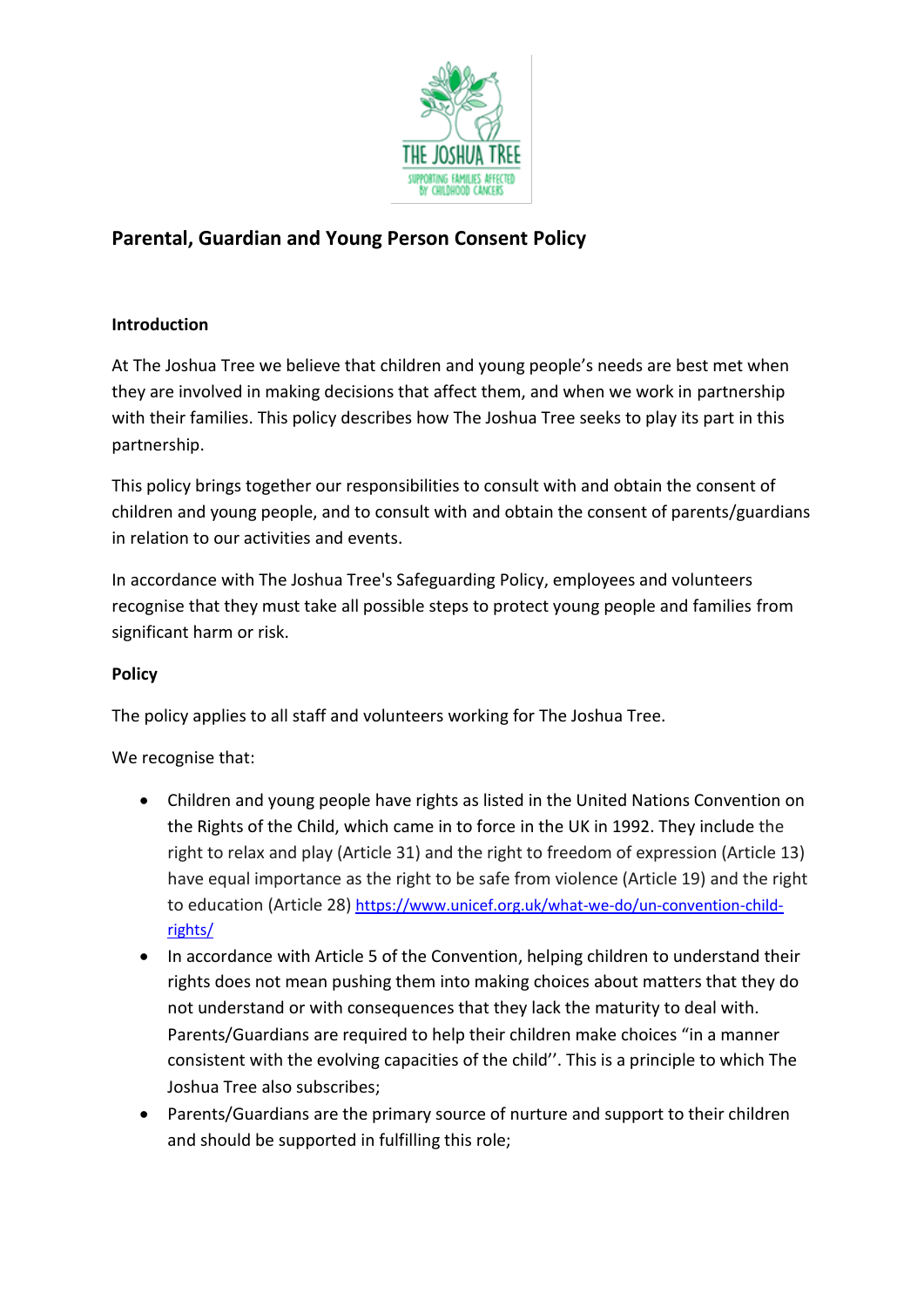

## **Parental, Guardian and Young Person Consent Policy**

## **Introduction**

At The Joshua Tree we believe that children and young people's needs are best met when they are involved in making decisions that affect them, and when we work in partnership with their families. This policy describes how The Joshua Tree seeks to play its part in this partnership.

This policy brings together our responsibilities to consult with and obtain the consent of children and young people, and to consult with and obtain the consent of parents/guardians in relation to our activities and events.

In accordance with The Joshua Tree's Safeguarding Policy, employees and volunteers recognise that they must take all possible steps to protect young people and families from significant harm or risk.

## **Policy**

The policy applies to all staff and volunteers working for The Joshua Tree.

## We recognise that:

- Children and young people have rights as listed in the United Nations Convention on the Rights of the Child, which came in to force in the UK in 1992. They include the right to relax and play (Article 31) and the right to freedom of expression (Article 13) have equal importance as the right to be safe from violence (Article 19) and the right to education (Article 28) [https://www.unicef.org.uk/what-we-do/un-convention-child](https://www.unicef.org.uk/what-we-do/un-convention-child-rights/)[rights/](https://www.unicef.org.uk/what-we-do/un-convention-child-rights/)
- In accordance with Article 5 of the Convention, helping children to understand their rights does not mean pushing them into making choices about matters that they do not understand or with consequences that they lack the maturity to deal with. Parents/Guardians are required to help their children make choices "in a manner consistent with the evolving capacities of the child''. This is a principle to which The Joshua Tree also subscribes;
- Parents/Guardians are the primary source of nurture and support to their children and should be supported in fulfilling this role;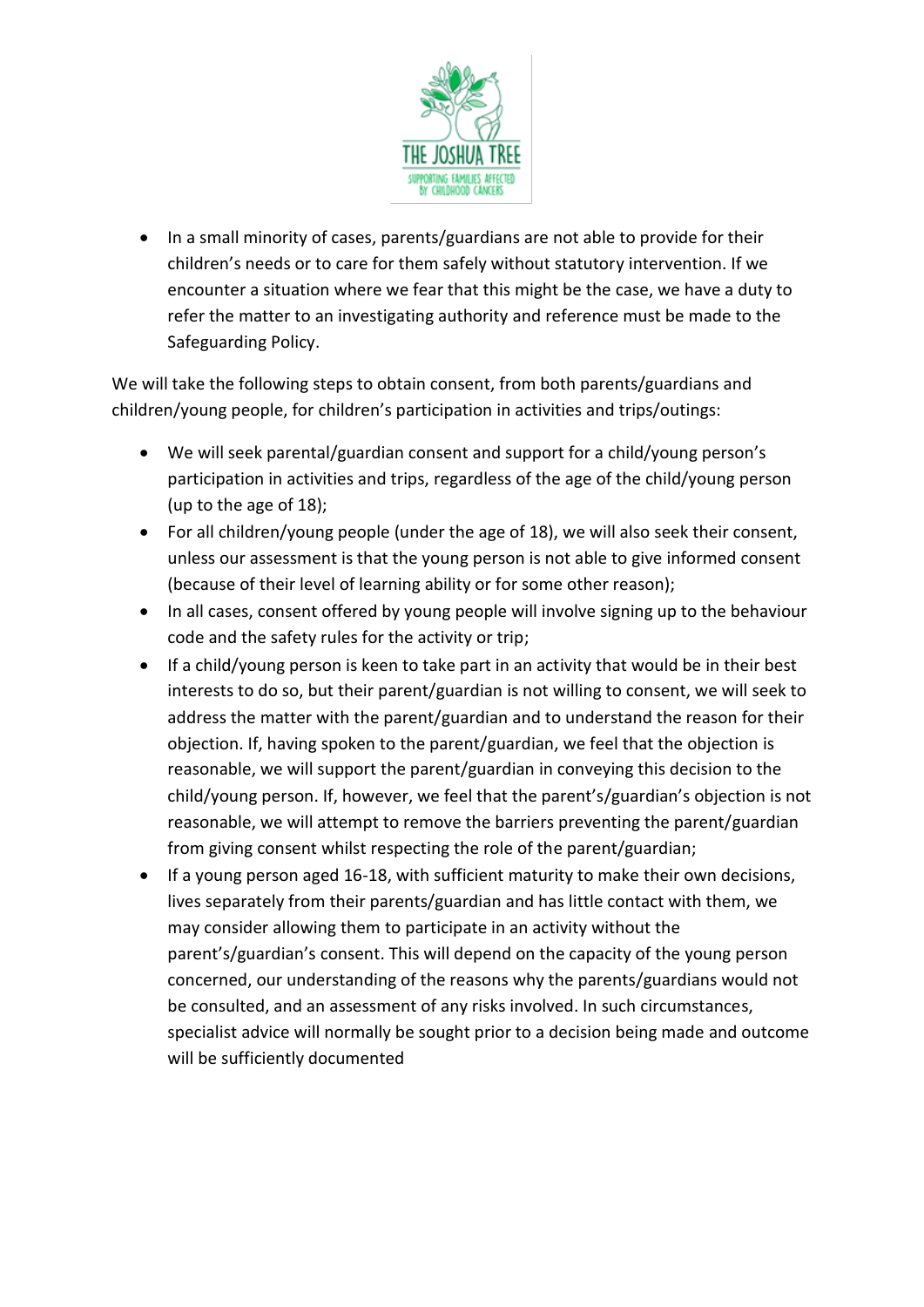

• In a small minority of cases, parents/guardians are not able to provide for their children's needs or to care for them safely without statutory intervention. If we encounter a situation where we fear that this might be the case, we have a duty to refer the matter to an investigating authority and reference must be made to the Safeguarding Policy.

We will take the following steps to obtain consent, from both parents/guardians and children/young people, for children's participation in activities and trips/outings:

- We will seek parental/guardian consent and support for a child/young person's participation in activities and trips, regardless of the age of the child/young person (up to the age of 18);
- For all children/young people (under the age of 18), we will also seek their consent, unless our assessment is that the young person is not able to give informed consent (because of their level of learning ability or for some other reason);
- In all cases, consent offered by young people will involve signing up to the behaviour code and the safety rules for the activity or trip;
- If a child/young person is keen to take part in an activity that would be in their best interests to do so, but their parent/guardian is not willing to consent, we will seek to address the matter with the parent/guardian and to understand the reason for their objection. If, having spoken to the parent/guardian, we feel that the objection is reasonable, we will support the parent/guardian in conveying this decision to the child/young person. If, however, we feel that the parent's/guardian's objection is not reasonable, we will attempt to remove the barriers preventing the parent/guardian from giving consent whilst respecting the role of the parent/guardian;
- If a young person aged 16-18, with sufficient maturity to make their own decisions, lives separately from their parents/guardian and has little contact with them, we may consider allowing them to participate in an activity without the parent's/guardian's consent. This will depend on the capacity of the young person concerned, our understanding of the reasons why the parents/guardians would not be consulted, and an assessment of any risks involved. In such circumstances, specialist advice will normally be sought prior to a decision being made and outcome will be sufficiently documented